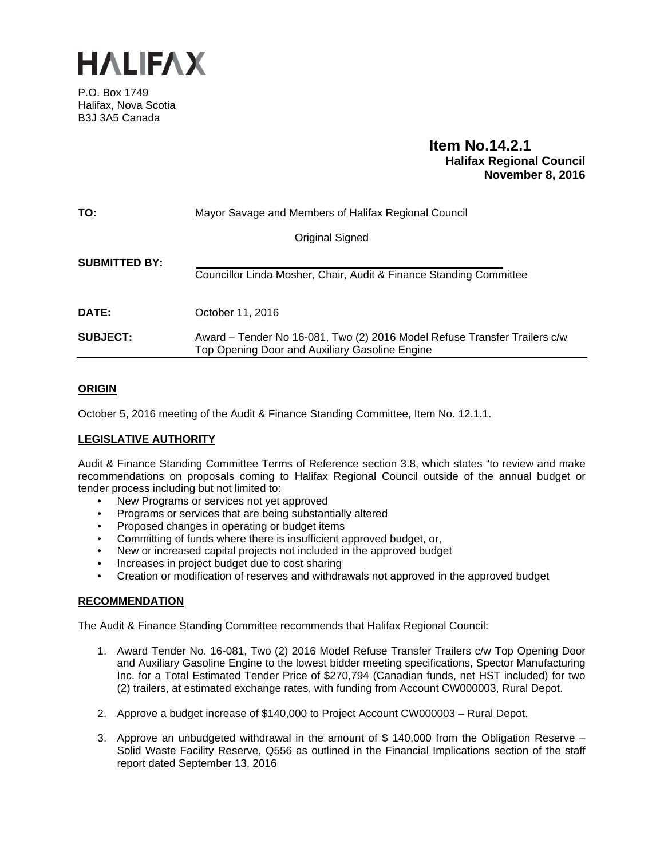

P.O. Box 1749 Halifax, Nova Scotia B3J 3A5 Canada

# **Item No.14.2.1 Halifax Regional Council November 8, 2016**

| TO:                  | Mayor Savage and Members of Halifax Regional Council                                                                        |  |
|----------------------|-----------------------------------------------------------------------------------------------------------------------------|--|
|                      | Original Signed                                                                                                             |  |
| <b>SUBMITTED BY:</b> | Councillor Linda Mosher, Chair, Audit & Finance Standing Committee                                                          |  |
| DATE:                | October 11, 2016                                                                                                            |  |
| <b>SUBJECT:</b>      | Award – Tender No 16-081, Two (2) 2016 Model Refuse Transfer Trailers c/w<br>Top Opening Door and Auxiliary Gasoline Engine |  |

# **ORIGIN**

October 5, 2016 meeting of the Audit & Finance Standing Committee, Item No. 12.1.1.

# **LEGISLATIVE AUTHORITY**

Audit & Finance Standing Committee Terms of Reference section 3.8, which states "to review and make recommendations on proposals coming to Halifax Regional Council outside of the annual budget or tender process including but not limited to:

- New Programs or services not yet approved
- Programs or services that are being substantially altered
- Proposed changes in operating or budget items
- Committing of funds where there is insufficient approved budget, or,
- New or increased capital projects not included in the approved budget
- Increases in project budget due to cost sharing
- Creation or modification of reserves and withdrawals not approved in the approved budget

# **RECOMMENDATION**

The Audit & Finance Standing Committee recommends that Halifax Regional Council:

- 1. Award Tender No. 16-081, Two (2) 2016 Model Refuse Transfer Trailers c/w Top Opening Door and Auxiliary Gasoline Engine to the lowest bidder meeting specifications, Spector Manufacturing Inc. for a Total Estimated Tender Price of \$270,794 (Canadian funds, net HST included) for two (2) trailers, at estimated exchange rates, with funding from Account CW000003, Rural Depot.
- 2. Approve a budget increase of \$140,000 to Project Account CW000003 Rural Depot.
- 3. Approve an unbudgeted withdrawal in the amount of \$ 140,000 from the Obligation Reserve Solid Waste Facility Reserve, Q556 as outlined in the Financial Implications section of the staff report dated September 13, 2016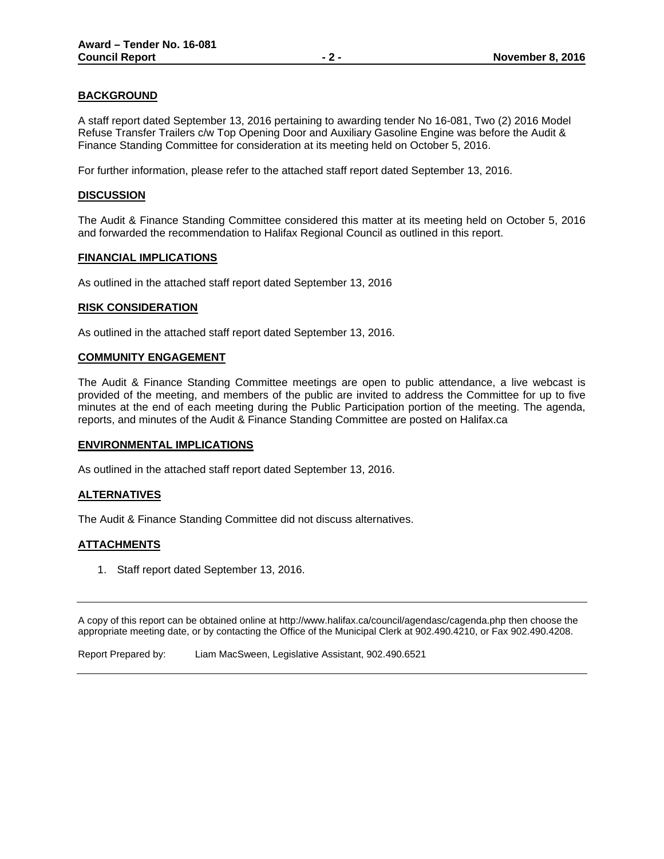# **BACKGROUND**

A staff report dated September 13, 2016 pertaining to awarding tender No 16-081, Two (2) 2016 Model Refuse Transfer Trailers c/w Top Opening Door and Auxiliary Gasoline Engine was before the Audit & Finance Standing Committee for consideration at its meeting held on October 5, 2016.

For further information, please refer to the attached staff report dated September 13, 2016.

# **DISCUSSION**

The Audit & Finance Standing Committee considered this matter at its meeting held on October 5, 2016 and forwarded the recommendation to Halifax Regional Council as outlined in this report.

## **FINANCIAL IMPLICATIONS**

As outlined in the attached staff report dated September 13, 2016

#### **RISK CONSIDERATION**

As outlined in the attached staff report dated September 13, 2016.

## **COMMUNITY ENGAGEMENT**

The Audit & Finance Standing Committee meetings are open to public attendance, a live webcast is provided of the meeting, and members of the public are invited to address the Committee for up to five minutes at the end of each meeting during the Public Participation portion of the meeting. The agenda, reports, and minutes of the Audit & Finance Standing Committee are posted on Halifax.ca

#### **ENVIRONMENTAL IMPLICATIONS**

As outlined in the attached staff report dated September 13, 2016.

# **ALTERNATIVES**

The Audit & Finance Standing Committee did not discuss alternatives.

# **ATTACHMENTS**

1. Staff report dated September 13, 2016.

A copy of this report can be obtained online at http://www.halifax.ca/council/agendasc/cagenda.php then choose the appropriate meeting date, or by contacting the Office of the Municipal Clerk at 902.490.4210, or Fax 902.490.4208.

Report Prepared by: Liam MacSween, Legislative Assistant, 902.490.6521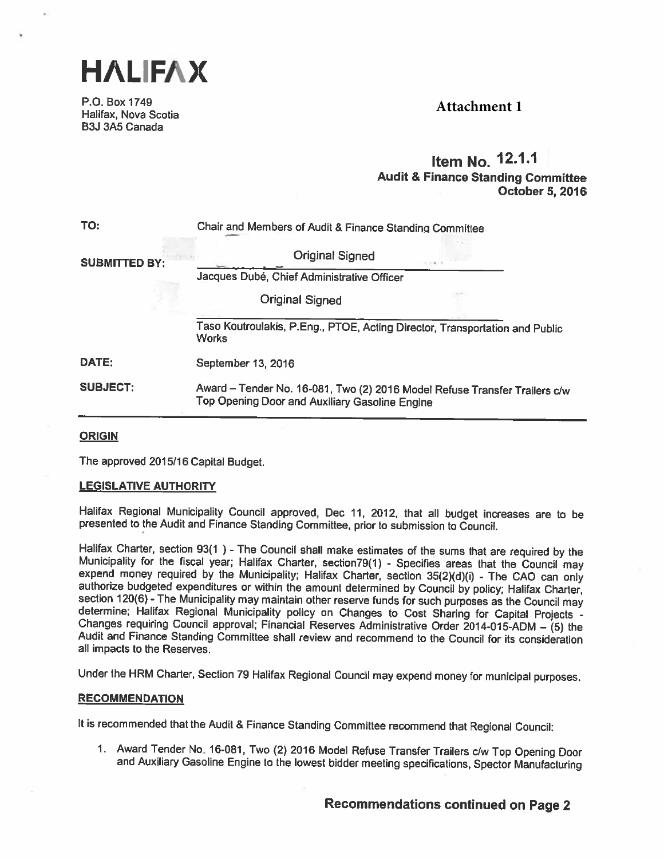

P.O. Box 1749 Halifax, Nova Scotia 83.1 3A5 Canada

# **Attachment 1**

# Item No. 12.1.1 Audit & Finance Standing Committee October 5, 2016

| TO:                  | Chair and Members of Audit & Finance Standing Committee                                                                      |  |  |
|----------------------|------------------------------------------------------------------------------------------------------------------------------|--|--|
| <b>SUBMITTED BY:</b> | <b>Original Signed</b>                                                                                                       |  |  |
|                      | Jacques Dubé, Chief Administrative Officer                                                                                   |  |  |
|                      | <b>Original Signed</b>                                                                                                       |  |  |
|                      | Taso Koutroulakis, P.Eng., PTOE, Acting Director, Transportation and Public<br><b>Works</b>                                  |  |  |
| DATE:                | September 13, 2016                                                                                                           |  |  |
| <b>SUBJECT:</b>      | Award - Tender No. 16-081, Two (2) 2016 Model Refuse Transfer Trailers c/w<br>Top Opening Door and Auxiliary Gasoline Engine |  |  |

# **ORIGIN**

The approved 2015/16 Capital Budget.

# LEGISLATIVE AUTHORITY

Halifax Regional Municipality Council approved, Dec 11, 2012, that all budget increases are to be presented to the Audit and Finance Standing Committee, prior to submission to Council.

Halifax Charter, section 93(1) - The Council shall make estimates of the sums that are required by the Municipality for the fiscal year; Halifax Charter, section79(1) - Specifies areas that the Council may expend money req all impacts to the Reserves.

Under the HRM Charter, Section <sup>79</sup> Halifax Regional Council may expend money for municipal purposes.

#### **RECOMMENDATION**

It is recommended that the Audit & Finance Standing Committee recommend that Regional Council:

1. Award Tender No. 16-081, Two (2) <sup>2016</sup> Model Refuse Transfer Trailers c/w Top Opening Door and Auxiliary Gasoline Engine to the lowest bidder meeting specifications, Spector Manufacturing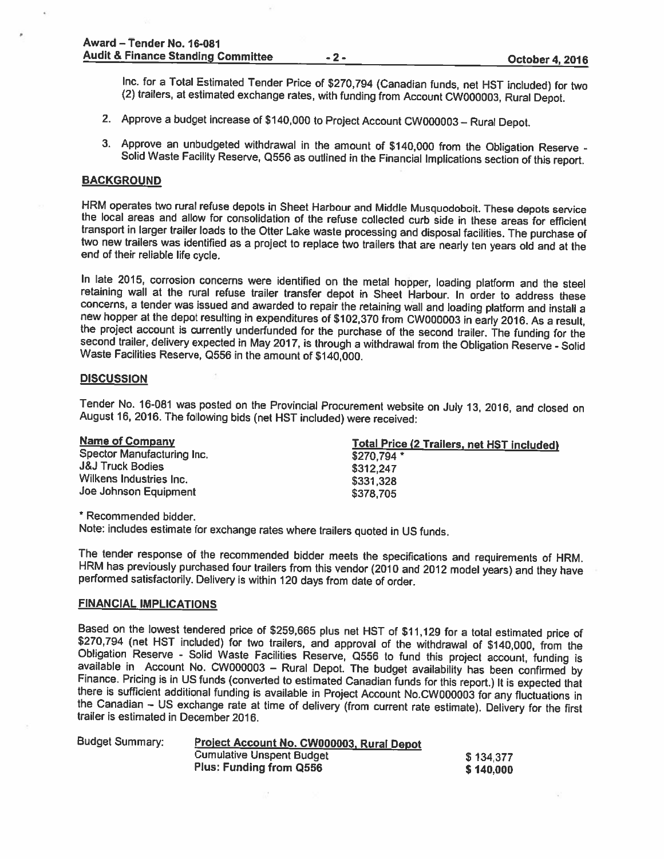Inc. for a Total Estimated Tender Price of \$270,794 (Canadian funds, net HST included) for two (2) trailers, at estimated exchange rates, with funding from Account CW000003, Rural Depot.

- 2. Approve a budget increase of \$140,000 to Project Account CW000003 Rural Depot.
- 3. Approve an unbudgeted withdrawal in the amount of \$140,000 from the Obligation Reserve Solid Waste Facility Reserve, Q556 as outlined in the Financial Implications section of this report.

#### **BACKGROUND**

HRM operates two rural refuse depots in Sheet Harbour and Middle Musquodoboit. These depots service the local areas and allow for consolidation of the refuse collected curb side in these areas for efficient transport in la two new trailers was identified as a project to replace two trailers that are nearly ten years old and at the<br>end of their reliable life cycle.

In late 2015, corrosion concerns were identified on the metal hopper, loading <sup>p</sup>latform and the steel retaining wall at the rural refuse trailer transfer depot in Sheet Harbour. In order to address these concerns, <sup>a</sup> tender was issued and awarded to repair the retaining wall and loading <sup>p</sup>latform and install <sup>a</sup> the project account is currently underfunded for the purchase of the second trailer. The funding for the second trailer, delivery expected in May 2017, is through a withdrawal from the Obligation Reserve - Solid Waste Faci

#### **DISCUSSION**

Tender No. 16-081 was posted on the Provincial Procurement website on July 13, 2016, and closed on<br>August 16, 2016. The following bids (net HST included) were received:

| <b>Name of Company</b>      | <b>Total Price (2 Trailers, net HST included)</b> |
|-----------------------------|---------------------------------------------------|
| Spector Manufacturing Inc.  | \$270.794 *                                       |
| <b>J&amp;J Truck Bodies</b> | \$312,247                                         |
| Wilkens Industries Inc.     | \$331,328                                         |
| Joe Johnson Equipment       | \$378,705                                         |

\* Recommended bidder.

Note: includes estimate for exchange rates where trailers quoted in US funds.

The tender response of the recommended bidder meets the specifications and requirements of HRM.<br>HRM has previously purchased four trailers from this vendor (2010 and 2012 model years) and they have<br>performed satisfactorily

# FINANCIAL IMPLICATIONS

Based on the lowest tendered price of \$259,665 plus net HST of \$11,129 for a total estimated price of \$270,794 (net HST included) for two trailers, and approval of the withdrawal of \$140,000, from the Obligation Reserve -

| Project Account No. CW000003, Rural Depot                          |                        |  |
|--------------------------------------------------------------------|------------------------|--|
| <b>Cumulative Unspent Budget</b><br><b>Plus: Funding from Q556</b> | \$134,377<br>\$140,000 |  |
|                                                                    |                        |  |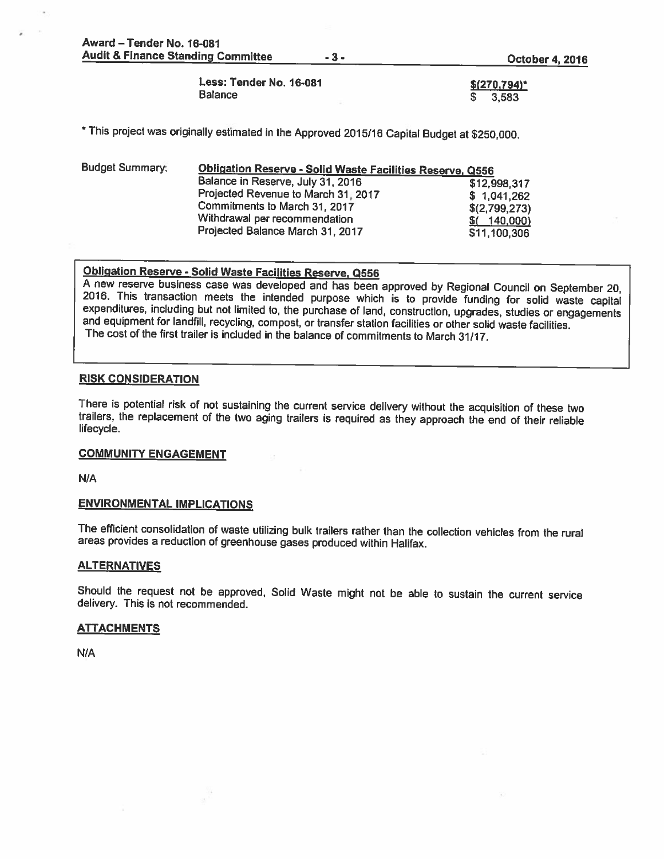Award — Tender No. 16-081 Audit & Finance Standing Committee 4. 2016

Less: Tender No. 16-081 **\$**(270,794)\*  $B$ alance  $\overline{\phantom{1}}\hspace{1.1cm}$   $\overline{\phantom{1}}\hspace{1.1cm}$   $\overline{\phantom{1}}\hspace{1.1cm}$   $\overline{\phantom{1}}\hspace{1.1cm}$   $\overline{\phantom{1}}\hspace{1.1cm}$   $\overline{\phantom{1}}\hspace{1.1cm}$   $\overline{\phantom{1}}\hspace{1.1cm}$   $\overline{\phantom{1}}\hspace{1.1cm}$   $\overline{\phantom{1}}\hspace{1.1cm}$   $\overline{\phantom{1}}\hspace{1.1cm}$ 

\* This project was originally estimated in the Approved 2015/16 Capital Budget at \$250,000.

| <b>Budget Summary:</b> | Obligation Reserve - Solid Waste Facilities Reserve, Q556 |               |  |
|------------------------|-----------------------------------------------------------|---------------|--|
|                        | Balance in Reserve, July 31, 2016                         | \$12,998,317  |  |
|                        | Projected Revenue to March 31, 2017                       | \$1,041,262   |  |
|                        | Commitments to March 31, 2017                             | \$(2,799,273) |  |
|                        | Withdrawal per recommendation                             | $$$ (140,000) |  |
|                        | Projected Balance March 31, 2017                          | \$11,100,306  |  |

Obligation Reserve - Solid Waste Facilities Reserve, Q556<br>A new reserve business case was developed and has been approved by Regional Council on September 20, 2016. This transaction meets the intended purpose which is to provide funding for solid waste capital expenditures, including but not limited to, the purchase of land, construction, upgrades, studies or engagements and equ The cost of the first trailer is included in the balance of commitments to March 31/17.

# RISK CONSIDERATION

There is potential risk of not sustaining the current service delivery without the acquisition of these two trailers, the replacement of the two aging trailers is required as they approach the end of their reliable lifecyc

# COMMUNITY ENGAGEMENT

N/A

#### ENVIRONMENTAL IMPLICATIONS

The efficient consolidation of waste utilizing bulk trailers rather than the collection vehicles from the rural areas provides <sup>a</sup> reduction of greenhouse gases produced within Halifax.

# **ALTERNATIVES**

Should the request not be approved, Solid Waste might not be able to sustain the current service delivery. This is not recommended.

# **ATTACHMENTS**

N/A